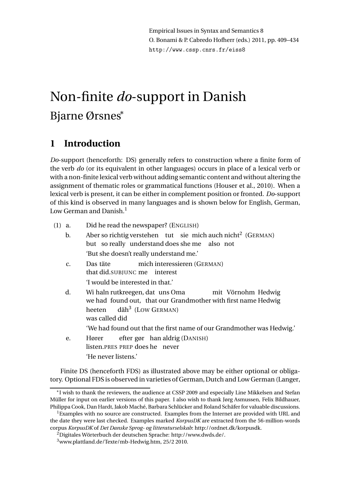# Non-finite *do*-support in Danish Bjarne Ørsnes<sup>∗</sup>

# **1 Introduction**

*Do*-support (henceforth: DS) generally refers to construction where a finite form of the verb *do* (or its equivalent in other languages) occurs in place of a lexical verb or with a non-finite lexical verb without adding semantic content and without altering the assignment of thematic roles or grammatical functions (Houser et al., 2010). When a lexical verb is present, it can be either in complement position or fronted. *Do*-support of this kind is observed in many languages and is shown below for English, German, Low German and Danish. $<sup>1</sup>$ </sup>

- (1) a. Did he read the newspaper? (ENGLISH)
	- b. Aber so richtig verstehen tut sie mich auch nicht<sup>2</sup> (GERMAN) but so really understand does she me also not 'But she doesn't really understand me.'
	- c. Das täte that did.SUBJUNC me interest mich interessieren (GERMAN) 'I would be interested in that.'
	- d. Wi haln rutkreegen, dat uns Oma we had found out, that our Grandmother with first name Hedwig mit Vörnohm Hedwig heeten was called did däh<sup>3</sup> (LOW GERMAN)
	- 'We had found out that the first name of our Grandmother was Hedwig.' e. Hører listen.PRES PREP does he never efter gør han aldrig (DANISH)
		- 'He never listens.'

Finite DS (henceforth FDS) as illustrated above may be either optional or obligatory. Optional FDS is observed in varieties of German, Dutch and Low German (Langer,

<sup>∗</sup> I wish to thank the reviewers, the audience at CSSP 2009 and especially Line Mikkelsen and Stefan Müller for input on earlier versions of this paper. I also wish to thank Jørg Asmussen, Felix Bildhauer, Philippa Cook, Dan Hardt, Jakob Maché, Barbara Schlücker and Roland Schäfer for valuable discussions.

<sup>&</sup>lt;sup>1</sup>Examples with no source are constructed. Examples from the Internet are provided with URL and the date they were last checked. Examples marked *KorpusDK* are extracted from the 56-million-words corpus *KorpusDK* of *Det Danske Sprog- og litteraturselskab*: http://ordnet.dk/korpusdk.

 $^{2}$ Digitales Wörterbuch der deutschen Sprache: http://www.dwds.de/.

<sup>3</sup>www.plattland.de/Texte/mb-Hedwig.htm, 25/2 2010.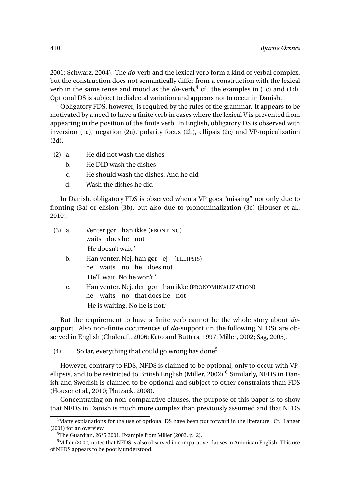2001; Schwarz, 2004). The *do*-verb and the lexical verb form a kind of verbal complex, but the construction does not semantically differ from a construction with the lexical verb in the same tense and mood as the  $do$ -verb, $<sup>4</sup>$  cf. the examples in (1c) and (1d).</sup> Optional DS is subject to dialectal variation and appears not to occur in Danish.

Obligatory FDS, however, is required by the rules of the grammar. It appears to be motivated by a need to have a finite verb in cases where the lexical V is prevented from appearing in the position of the finite verb. In English, obligatory DS is observed with inversion (1a), negation (2a), polarity focus (2b), ellipsis (2c) and VP-topicalization (2d).

- (2) a. He did not wash the dishes
	- b. He DID wash the dishes
	- c. He should wash the dishes. And he did
	- d. Wash the dishes he did

In Danish, obligatory FDS is observed when a VP goes "missing" not only due to fronting (3a) or elision (3b), but also due to pronominalization (3c) (Houser et al., 2010).

| $(3)$ a.       | Venter gør han ikke (FRONTING)<br>waits does he not                                   |
|----------------|---------------------------------------------------------------------------------------|
|                | 'He doesn't wait.'                                                                    |
| b.             | Han venter. Nej, han gør ej (ELLIPSIS)<br>he waits no he does not                     |
|                | 'He'll wait. No he won't.'                                                            |
| $\mathbf{C}$ . | Han venter. Nej, det gør han ikke (PRONOMINALIZATION)<br>he waits no that does he not |
|                | 'He is waiting. No he is not.'                                                        |

But the requirement to have a finite verb cannot be the whole story about *do*support. Also non-finite occurrences of *do*-support (in the following NFDS) are observed in English (Chalcraft, 2006; Kato and Butters, 1997; Miller, 2002; Sag, 2005).

(4) So far, everything that could go wrong has done<sup>5</sup>

However, contrary to FDS, NFDS is claimed to be optional, only to occur with VPellipsis, and to be restricted to British English (Miller, 2002).<sup>6</sup> Similarly, NFDS in Danish and Swedish is claimed to be optional and subject to other constraints than FDS (Houser et al., 2010; Platzack, 2008).

Concentrating on non-comparative clauses, the purpose of this paper is to show that NFDS in Danish is much more complex than previously assumed and that NFDS

<sup>&</sup>lt;sup>4</sup>Many explanations for the use of optional DS have been put forward in the literature. Cf. Langer (2001) for an overview.

 $5$ The Guardian, 26/5 2001. Example from Miller (2002, p. 2).

 $6$ Miller (2002) notes that NFDS is also observed in comparative clauses in American English. This use of NFDS appears to be poorly understood.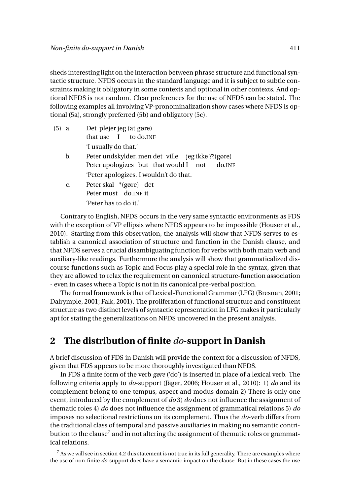sheds interesting light on the interaction between phrase structure and functional syntactic structure. NFDS occurs in the standard language and it is subject to subtle constraints making it obligatory in some contexts and optional in other contexts. And optional NFDS is not random. Clear preferences for the use of NFDS can be stated. The following examples all involving VP-pronominalization show cases where NFDS is optional (5a), strongly preferred (5b) and obligatory (5c).

- $(5)$  a. that use I plejer jeg (at gøre) to do.INF 'I usually do that.'
	- b. Peter undskylder, men det ville jeg ikke ??(gøre) Peter apologizes but that would I not do.INF 'Peter apologizes. I wouldn't do that.
	- c. Peter skal \*(gøre) det Peter must do.INF it 'Peter has to do it.'

Contrary to English, NFDS occurs in the very same syntactic environments as FDS with the exception of VP ellipsis where NFDS appears to be impossible (Houser et al., 2010). Starting from this observation, the analysis will show that NFDS serves to establish a canonical association of structure and function in the Danish clause, and that NFDS serves a crucial disambiguating function for verbs with both main verb and auxiliary-like readings. Furthermore the analysis will show that grammaticalized discourse functions such as Topic and Focus play a special role in the syntax, given that they are allowed to relax the requirement on canonical structure-function association - even in cases where a Topic is not in its canonical pre-verbal position.

The formal framework is that of Lexical-Functional Grammar(LFG) (Bresnan, 2001; Dalrymple, 2001; Falk, 2001). The proliferation of functional structure and constituent structure as two distinct levels of syntactic representation in LFG makes it particularly apt for stating the generalizations on NFDS uncovered in the present analysis.

## **2 The distribution of finite** *do***-support in Danish**

A brief discussion of FDS in Danish will provide the context for a discussion of NFDS, given that FDS appears to be more thoroughly investigated than NFDS.

In FDS a finite form of the verb *gøre* ('do') is inserted in place of a lexical verb. The following criteria apply to *do*-support (Jäger, 2006; Houser et al., 2010): 1) *do* and its complement belong to one tempus, aspect and modus domain 2) There is only one event, introduced by the complement of *do* 3) *do* does not influence the assignment of thematic roles 4) *do* does not influence the assignment of grammatical relations 5) *do* imposes no selectional restrictions on its complement. Thus the *do*-verb differs from the traditional class of temporal and passive auxiliaries in making no semantic contribution to the clause<sup>7</sup> and in not altering the assignment of thematic roles or grammatical relations.

 $7$  As we will see in section 4.2 this statement is not true in its full generality. There are examples where the use of non-finite *do*-support does have a semantic impact on the clause. But in these cases the use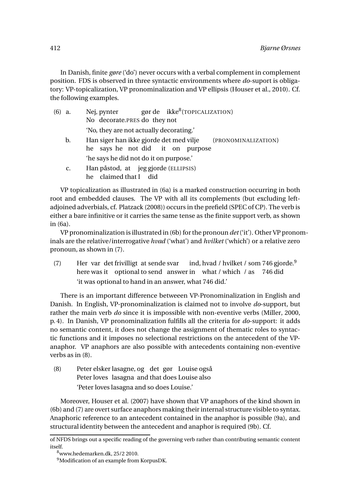In Danish, finite *gøre* ('do') never occurs with a verbal complement in complement position. FDS is observed in three syntactic environments where *do*-suport is obligatory: VP-topicalization, VP pronominalization and VP ellipsis (Houser et al., 2010). Cf. the following examples.

| $(6)$ a. |    | gør de ikke <sup>8</sup> (TOPICALIZATION)<br>Nej, pynter       |
|----------|----|----------------------------------------------------------------|
|          |    | No decorate.PRES do they not                                   |
|          |    | 'No, they are not actually decorating.'                        |
| b.       |    | Han siger han ikke gjorde det med vilje<br>(PRONOMINALIZATION) |
|          |    | he says he not did it on purpose                               |
|          |    | 'he says he did not do it on purpose.'                         |
|          | c. | Han påstod, at jeg gjorde (ELLIPSIS)                           |
|          |    | he claimed that I did                                          |

VP topicalization as illustrated in (6a) is a marked construction occurring in both root and embedded clauses. The VP with all its complements (but excluding leftadjoined adverbials, cf. Platzack (2008)) occurs in the prefield (SPEC of CP). The verb is either a bare infinitive or it carries the same tense as the finite support verb, as shown in (6a).

VP pronominalization is illustrated in (6b) for the pronoun *det*('it'). Other VP pronominals are the relative/interrogative *hvad* ('what') and *hvilket* ('which') or a relative zero pronoun, as shown in (7).

(7) Her var det frivilligt at sende svar here was it optional to send answer in what / which / as ind, hvad / hvilket / som 746 gjorde.<sup>9</sup> 746 did 'it was optional to hand in an answer, what 746 did.'

There is an important difference betweeen VP-Pronominalization in English and Danish. In English, VP-pronominalization is claimed not to involve *do*-support, but rather the main verb *do* since it is impossible with non-eventive verbs (Miller, 2000, p. 4). In Danish, VP pronominalization fulfills all the criteria for *do*-support: it adds no semantic content, it does not change the assignment of thematic roles to syntactic functions and it imposes no selectional restrictions on the antecedent of the VPanaphor. VP anaphors are also possible with antecedents containing non-eventive verbs as in (8).

(8) Peter elsker lasagne, og det gør Louise også Peter loves lasagna and that does Louise also 'Peter loves lasagna and so does Louise.'

Moreover, Houser et al. (2007) have shown that VP anaphors of the kind shown in (6b) and (7) are overt surface anaphors making their internal structure visible to syntax. Anaphoric reference to an antecedent contained in the anaphor is possible (9a), and structural identity between the antecedent and anaphor is required (9b). Cf.

of NFDS brings out a specific reading of the governing verb rather than contributing semantic content itself.

 $8$ www.hedemarken.dk, 25/2 2010.

<sup>&</sup>lt;sup>9</sup>Modification of an example from KorpusDK.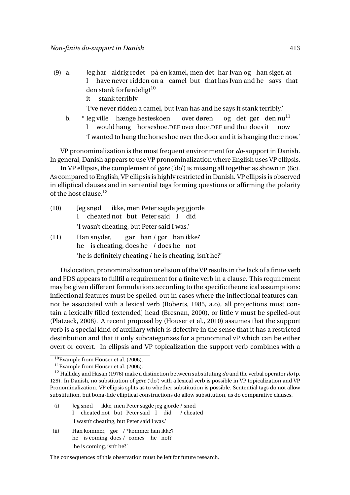$(9)$  a. I har aldrig redet på en kamel, men det har Ivan og han siger, at have never ridden on a camel but that has Ivan and he says that den stank forfærdeligt<sup>10</sup> it stank terribly

'I've never ridden a camel, but Ivan has and he says it stank terribly.'

b. \* Jeg ville hænge hesteskoen I would hang horseshoe.DEF over door.DEF and that does it over døren og det gør den nu<sup>11</sup> now 'I wanted to hang the horseshoe over the door and it is hanging there now.'

VP pronominalization is the most frequent environment for *do*-support in Danish. In general, Danish appears to use VP pronominalization where English uses VP ellipsis.

In VP ellipsis, the complement of *gøre* ('do') is missing all together as shown in (6c). As compared to English, VP ellipsis is highly restricted in Danish. VP ellipsis is observed in elliptical clauses and in sentential tags forming questions or affirming the polarity of the host clause  $12$ 

| (10) |                                            | Jeg snød ikke, men Peter sagde jeg gjorde |  |  |  |  |  |  |  |
|------|--------------------------------------------|-------------------------------------------|--|--|--|--|--|--|--|
|      |                                            | I cheated not but Peter said I did        |  |  |  |  |  |  |  |
|      | 'I wasn't cheating, but Peter said I was.' |                                           |  |  |  |  |  |  |  |

(11) Han snyder, he is cheating, does he / does he not gør han / gør han ikke? 'he is definitely cheating / he is cheating, isn't he?'

Dislocation, pronominalization or elision of the VP results in the lack of a finite verb and FDS appears to fullfil a requirement for a finite verb in a clause. This requirement may be given different formulations according to the specific theoretical assumptions: inflectional features must be spelled-out in cases where the inflectional features cannot be associated with a lexical verb (Roberts, 1985, a.o), all projections must contain a lexically filled (extended) head (Bresnan, 2000), or little V must be spelled-out (Platzack, 2008). A recent proposal by (Houser et al., 2010) assumes that the support verb is a special kind of auxiliary which is defective in the sense that it has a restricted destribution and that it only subcategorizes for a pronominal vP which can be either overt or covert. In ellipsis and VP topicalization the support verb combines with a

- (i) Jeg snød I cheated not but Peter said I did ikke, men Peter sagde jeg gjorde / snød / cheated 'I wasn't cheating, but Peter said I was.'
- (ii) Han kommer, gør / \*kommer han ikke? he is coming, does / comes he not? 'he is coming, isn't he?'

The consequences of this observation must be left for future research.

<sup>10</sup>Example from Houser et al. (2006).

<sup>&</sup>lt;sup>11</sup>Example from Houser et al. (2006).

<sup>12</sup> Halliday and Hasan (1976) make a distinction between substituting *do* and the verbal operator *do* (p. 129). In Danish, no substitution of *gøre* ('do') with a lexical verb is possible in VP topicalization and VP Pronominalization. VP ellipsis splits as to whether substitution is possible. Sentential tags do not allow substitution, but bona-fide elliptical constructions do allow substitution, as do comparative clauses.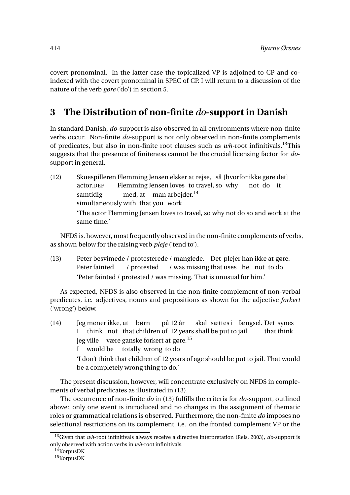covert pronominal. In the latter case the topicalized VP is adjoined to CP and coindexed with the covert pronominal in SPEC of CP. I will return to a discussion of the nature of the verb *gøre* ('do') in section 5.

## **3 The Distribution of non-finite** *do***-support in Danish**

In standard Danish, *do*-support is also observed in all environments where non-finite verbs occur. Non-finite *do*-support is not only observed in non-finite complements of predicates, but also in non-finite root clauses such as *wh*-root infinitivals.13This suggests that the presence of finiteness cannot be the crucial licensing factor for *do*support in general.

(12) Skuespilleren Flemming Jensen elsker at rejse, så [hvorfor ikke gøre det] actor.DEF Flemming Jensen loves to travel, so why not do it samtidig simultaneously with that you work med, at man arbejder.<sup>14</sup> 'The actor Flemming Jensen loves to travel, so why not do so and work at the same time.'

NFDS is, however, most frequently observed in the non-finite complements of verbs, as shown below for the raising verb *pleje* ('tend to').

(13) Peter besvimede / protesterede / manglede. Det plejer han ikke at gøre. Peter fainted / protested / was missing that uses he not to do 'Peter fainted / protested / was missing. That is unusual for him.'

As expected, NFDS is also observed in the non-finite complement of non-verbal predicates, i.e. adjectives, nouns and prepositions as shown for the adjective *forkert* ('wrong') below.

 $(14)$ I mener ikke, at børn think not that children of 12 years shall be put to jail på 12 år skal sættes i fængsel. Det synes that think jeg ville – være ganske forkert at gøre.<sup>15</sup> I would be totally wrong to do 'I don't think that children of 12 years of age should be put to jail. That would be a completely wrong thing to do.'

The present discussion, however, will concentrate exclusively on NFDS in complements of verbal predicates as illustrated in (13).

The occurrence of non-finite *do* in (13) fulfills the criteria for *do*-support, outlined above: only one event is introduced and no changes in the assignment of thematic roles or grammatical relations is observed. Furthermore, the non-finite *do* imposes no selectional restrictions on its complement, i.e. on the fronted complement VP or the

<sup>13</sup>Given that *wh*-root infinitivals always receive a directive interpretation (Reis, 2003), *do*-support is only observed with action verbs in *wh*-root infinitivals.

 $14$ KorpusDK

 $15$ KorpusDK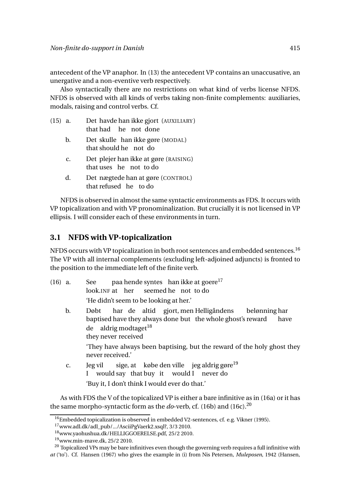antecedent of the VP anaphor. In (13) the antecedent VP contains an unaccusative, an unergative and a non-eventive verb respectively.

Also syntactically there are no restrictions on what kind of verbs license NFDS. NFDS is observed with all kinds of verbs taking non-finite complements: auxiliaries, modals, raising and control verbs. Cf.

| $(15)$ a.      | Det havde han ikke gjort (AUXILIARY)               |
|----------------|----------------------------------------------------|
|                | that had he not done                               |
| b.             | Det skulle han ikke gøre (MODAL)                   |
|                | that should he not do                              |
| $\mathbf{c}$ . | Det plejer han ikke at gøre (RAISING)              |
|                | that uses he not to do                             |
|                | $\Gamma$ not noted han at gare $(\text{CONTport})$ |

d. Det nægtede han at gøre (CONTROL) that refused he to do

NFDS is observed in almost the same syntactic environments as FDS. It occurs with VP topicalization and with VP pronominalization. But crucially it is not licensed in VP ellipsis. I will consider each of these environments in turn.

#### **3.1 NFDS with VP-topicalization**

NFDS occurs with VP topicalization in both root sentences and embedded sentences.<sup>16</sup> The VP with all internal complements (excluding left-adjoined adjuncts) is fronted to the position to the immediate left of the finite verb.

- (16) a. See look.INF at her paa hende syntes han ikke at goere<sup>17</sup> seemed he not to do 'He didn't seem to be looking at her.'
	- b. Døbt baptised have they always done but the whole ghost's reward har de altid gjort, men Helligåndens belønning har have de aldrig modtaget<sup>18</sup> they never received

'They have always been baptising, but the reward of the holy ghost they never received.'

c. Jeg vil I would say that buy it would I never do sige, at  $\;$  købe den ville  $\;$  jeg aldrig gøre $^{19}$ 'Buy it, I don't think I would ever do that.'

As with FDS the V of the topicalized VP is either a bare infinitive as in (16a) or it has the same morpho-syntactic form as the *do*-verb, cf. (16b) and (16c).<sup>20</sup>

 $16$ Embedded topicalization is observed in embedded V2-sentences, cf. e.g. Vikner (1995).

<sup>17</sup>www.adl.dk/adl\_pub/.../AsciiPgVaerk2.xsql?, 3/3 2010.

<sup>18</sup>www.yaohushua.dk/HELLIGGOERELSE.pdf, 25/2 2010.

<sup>19</sup>www.min-mave.dk, 25/2 2010.

 $^{20}$  Topicalized VPs may be bare infinitives even though the governing verb requires a full infinitive with *at* ('to'). Cf. Hansen (1967) who gives the example in (i) from Nis Petersen, *Muleposen*, 1942 (Hansen,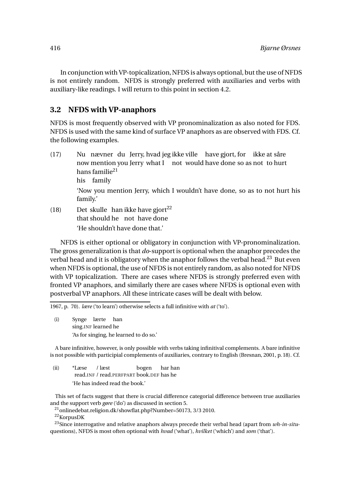In conjunction with VP-topicalization,NFDS is always optional, but the use of NFDS is not entirely random. NFDS is strongly preferred with auxiliaries and verbs with auxiliary-like readings. I will return to this point in section 4.2.

#### **3.2 NFDS with VP-anaphors**

NFDS is most frequently observed with VP pronominalization as also noted for FDS. NFDS is used with the same kind of surface VP anaphors as are observed with FDS. Cf. the following examples.

- $(17)$ now mention you Jerry what I not would have done so as not to hurt nævner du Jerry, hvad jeg ikke ville have gjort, for ikke at såre hans familie<sup>21</sup> his family 'Now you mention Jerry, which I wouldn't have done, so as to not hurt his family.'
- (18) Det skulle han ikke have gjort<sup>22</sup> that should he not have done 'He shouldn't have done that.'

NFDS is either optional or obligatory in conjunction with VP-pronominalization. The gross generalization is that *do*-support is optional when the anaphor precedes the verbal head and it is obligatory when the anaphor follows the verbal head.<sup>23</sup> But even when NFDS is optional, the use of NFDS is not entirely random, as also noted for NFDS with VP topicalization. There are cases where NFDS is strongly preferred even with fronted VP anaphors, and similarly there are cases where NFDS is optional even with postverbal VP anaphors. All these intricate cases will be dealt with below.

1967, p. 70). *lære* ('to learn') otherwise selects a full infinitive with *at* ('to').

(i) Synge lærte han sing.INF learned he 'As for singing, he learned to do so.'

A bare infinitive, however, is only possible with verbs taking infinitival complements. A bare infinitive is not possible with participial complements of auxiliaries, contrary to English (Bresnan, 2001, p. 18). Cf.

(ii) \*Læse read.INF / read.PERFPART book.DEF has he / læst bogen har han 'He has indeed read the book.'

This set of facts suggest that there is crucial difference categorial difference between true auxiliaries and the support verb *gøre* ('do') as discussed in section 5.

<sup>21</sup>onlinedebat.religion.dk/showflat.php?Number=50173, 3/3 2010.  $^{22}\mbox{KorpusDK}$ 

<sup>23</sup>Since interrogative and relative anaphors always precede their verbal head (apart from *wh-in-situ*questions), NFDS is most often optional with *hvad* ('what'), *hvilket* ('which') and *som* ('that').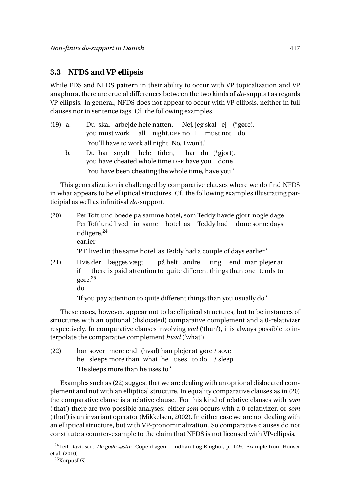#### **3.3 NFDS and VP ellipsis**

While FDS and NFDS pattern in their ability to occur with VP topicalization and VP anaphora, there are crucial differences between the two kinds of *do*-support as regards VP ellipsis. In general, NFDS does not appear to occur with VP ellipsis, neither in full clauses nor in sentence tags. Cf. the following examples.

| $(19)$ a. |    | Du skal arbejde hele natten. Nej, jeg skal ej (*gøre).                                     |  |  |  |  |  |  |
|-----------|----|--------------------------------------------------------------------------------------------|--|--|--|--|--|--|
|           |    | you must work all night.DEF no I must not do                                               |  |  |  |  |  |  |
|           |    | 'You'll have to work all night. No, I won't.'                                              |  |  |  |  |  |  |
|           | b. | Du har snydt hele tiden, har du (*gjort).<br>you have cheated whole time.DEF have you done |  |  |  |  |  |  |
|           |    | 'You have been cheating the whole time, have you.'                                         |  |  |  |  |  |  |

This generalization is challenged by comparative clauses where we do find NFDS in what appears to be elliptical structures. Cf. the following examples illustrating participial as well as infinitival *do*-support.

- $(20)$ Per Toftlund lived in same hotel as Teddy had done some days Toftlund boede på samme hotel, som Teddy havde gjort nogle dage tidligere.<sup>24</sup> earlier 'P.T. lived in the same hotel, as Teddy had a couple of days earlier.'
- (21) Hvis der lægges vægt if there is paid attention to quite different things than one tends to på helt andre ting end man plejer at gøre.<sup>25</sup>

'If you pay attention to quite different things than you usually do.'

These cases, however, appear not to be elliptical structures, but to be instances of structures with an optional (dislocated) comparative complement and a 0-relativizer respectively. In comparative clauses involving *end* ('than'), it is always possible to interpolate the comparative complement *hvad* ('what').

(22) han sover mere end (hvad) han plejer at gøre / sove he sleeps more than what he uses to do / sleep 'He sleeps more than he uses to.'

Examples such as (22) suggest that we are dealing with an optional dislocated complement and not with an elliptical structure. In equality comparative clauses as in (20) the comparative clause is a relative clause. For this kind of relative clauses with *som* ('that') there are two possible analyses: either *som* occurs with a 0-relativizer, or *som* ('that') is an invariant operator (Mikkelsen, 2002). In either case we are not dealing with an elliptical structure, but with VP-pronominalization. So comparative clauses do not constitute a counter-example to the claim that NFDS is not licensed with VP-ellipsis.

do

<sup>24</sup>Leif Davidsen: *De gode søstre*. Copenhagen: Lindhardt og Ringhof, p. 149. Example from Houser et al. (2010).

<sup>25</sup>KorpusDK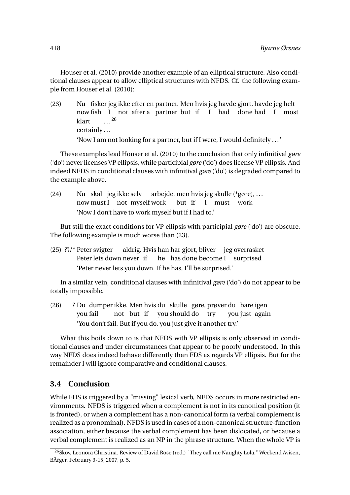Houser et al. (2010) provide another example of an elliptical structure. Also conditional clauses appear to allow elliptical structures with NFDS. Cf. the following example from Houser et al. (2010):

 $(23)$ now fish I not after a partner but if I had done had I most fisker jeg ikke efter en partner. Men hvis jeg havde gjort, havde jeg helt klart certainly ... ... 26

'Now I am not looking for a partner, but if I were, I would definitely ...'

These examples lead Houser et al. (2010) to the conclusion that only infinitival *gøre* ('do') never licenses VP ellipsis, while participial *gøre* ('do') does license VP ellipsis. And indeed NFDS in conditional clauses with infinitival *gøre* ('do') is degraded compared to the example above.

 $(24)$ now must I not myself work skal jeg ikke selv arbejde, men hvis jeg skulle (\*gøre), ... but if I must work 'Now I don't have to work myself but if I had to.'

But still the exact conditions for VP ellipsis with participial *gøre* ('do') are obscure. The following example is much worse than (23).

(25) ??/\* Peter svigter Peter lets down never if aldrig. Hvis han har gjort, bliver jeg overrasket he has done become I surprised 'Peter never lets you down. If he has, I'll be surprised.'

In a similar vein, conditional clauses with infinitival *gøre* ('do') do not appear to be totally impossible.

(26) ? Du dumper ikke. Men hvis du skulle gøre, prøver du bare igen you fail not but if you should do try you just again 'You don't fail. But if you do, you just give it another try.'

What this boils down to is that NFDS with VP ellipsis is only observed in conditional clauses and under circumstances that appear to be poorly understood. In this way NFDS does indeed behave differently than FDS as regards VP ellipsis. But for the remainder I will ignore comparative and conditional clauses.

#### **3.4 Conclusion**

While FDS is triggered by a "missing" lexical verb, NFDS occurs in more restricted environments. NFDS is triggered when a complement is not in its canonical position (it is fronted), or when a complement has a non-canonical form (a verbal complement is realized as a pronominal). NFDS is used in cases of a non-canonical structure-function association, either because the verbal complement has been dislocated, or because a verbal complement is realized as an NP in the phrase structure. When the whole VP is

<sup>&</sup>lt;sup>26</sup>Skov, Leonora Christina. Review of David Rose (red.) "They call me Naughty Lola." Weekend Avisen, BÂfger. February 9-15, 2007, p. 5.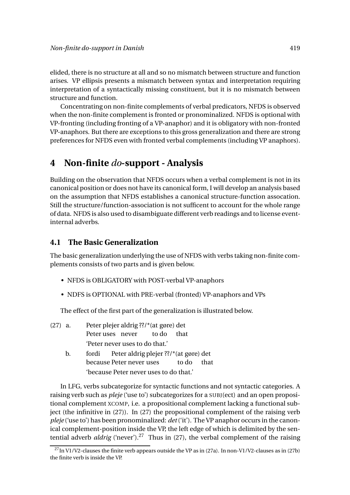elided, there is no structure at all and so no mismatch between structure and function arises. VP ellipsis presents a mismatch between syntax and interpretation requiring interpretation of a syntactically missing constituent, but it is no mismatch between structure and function.

Concentrating on non-finite complements of verbal predicators, NFDS is observed when the non-finite complement is fronted or pronominalized. NFDS is optional with VP-fronting (including fronting of a VP-anaphor) and it is obligatory with non-fronted VP-anaphors. But there are exceptions to this gross generalization and there are strong preferences for NFDS even with fronted verbal complements (including VP anaphors).

## **4 Non-finite** *do***-support - Analysis**

Building on the observation that NFDS occurs when a verbal complement is not in its canonical position or does not have its canonical form, I will develop an analysis based on the assumption that NFDS establishes a canonical structure-function assocation. Still the structure/function-association is not sufficent to account for the whole range of data. NFDS is also used to disambiguate different verb readings and to license eventinternal adverbs.

#### **4.1 The Basic Generalization**

The basic generalization underlying the use of NFDS with verbs taking non-finite complements consists of two parts and is given below.

- NFDS is OBLIGATORY with POST-verbal VP-anaphors
- NDFS is OPTIONAL with PRE-verbal (fronted) VP-anaphors and VPs

The effect of the first part of the generalization is illustrated below.

| $(27)$ a. | Peter plejer aldrig??/*(at gøre) det |  |                                |  |                                              |  |  |
|-----------|--------------------------------------|--|--------------------------------|--|----------------------------------------------|--|--|
|           |                                      |  | Peter uses never to do that    |  |                                              |  |  |
|           |                                      |  | 'Peter never uses to do that.' |  |                                              |  |  |
|           |                                      |  |                                |  | fordi Peter aldrig pleier $22$ /*(at gare) c |  |  |

b. fordi Peter aldrig plejer ??/\*(at gøre) det because Peter never uses to do that 'because Peter never uses to do that.'

In LFG, verbs subcategorize for syntactic functions and not syntactic categories. A raising verb such as *pleje* ('use to') subcategorizes for a SUBJ(ect) and an open propositional complement XCOMP, i.e. a propositional complement lacking a functional subject (the infinitive in (27)). In (27) the propositional complement of the raising verb *pleje* ('use to') has been pronominalized: *det*('it'). The VP anaphor occurs in the canonical complement-position inside the VP, the left edge of which is delimited by the sentential adverb *aldrig* ('never').<sup>27</sup> Thus in (27), the verbal complement of the raising

 $^{27}$ In V1/V2-clauses the finite verb appears outside the VP as in (27a). In non-V1/V2-clauses as in (27b) the finite verb is inside the VP.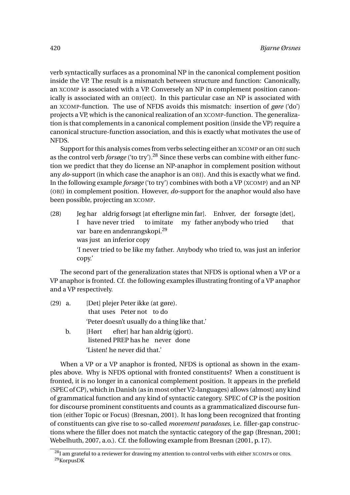verb syntactically surfaces as a pronominal NP in the canonical complement position inside the VP. The result is a mismatch between structure and function: Canonically, an XCOMP is associated with a VP. Conversely an NP in complement position canonically is associated with an OBJ(ect). In this particular case an NP is associated with an XCOMP-function. The use of NFDS avoids this mismatch: insertion of *gøre* ('do') projects a VP, which is the canonical realization of an XCOMP-function. The generalization is that complements in a canonical complement position (inside the VP) require a canonical structure-function association, and this is exactly what motivates the use of NFDS.

Support for this analysis comes from verbs selecting either an XCOMP or an OBJ such as the control verb *forsøge* ('to try').<sup>28</sup> Since these verbs can combine with either function we predict that they do license an NP-anaphor in complement position without any *do*-support (in which case the anaphor is an OBJ). And this is exactly what we find. In the following example *forsøge* ('to try') combines with both a VP (XCOMP) and an NP (OBJ) in complement position. However, *do*-support for the anaphor would also have been possible, projecting an XCOMP.

 $(28)$ I have never tried har aldrig forsøgt [at efterligne min far]. Enhver, der forsøgte [det], to imitate my father anybody who tried that var bare en andenrangskopi.<sup>29</sup> was just an inferior copy 'I never tried to be like my father. Anybody who tried to, was just an inferior copy.'

The second part of the generalization states that NFDS is optional when a VP or a VP anaphor is fronted. Cf. the following examples illustrating fronting of a VP anaphor and a VP respectively.

- $(29)$  a. that uses Peter not to do plejer Peter ikke (at gøre). 'Peter doesn't usually do a thing like that.' b. [Hørt efter] har han aldrig (gjort).
	- listened PREP has he never done 'Listen! he never did that.'

When a VP or a VP anaphor is fronted, NFDS is optional as shown in the examples above. Why is NFDS optional with fronted constituents? When a constituent is fronted, it is no longer in a canonical complement position. It appears in the prefield (SPEC of CP), which in Danish (as in most other V2-languages) allows (almost) any kind of grammatical function and any kind of syntactic category. SPEC of CP is the position for discourse prominent constituents and counts as a grammaticalized discourse funtion (either Topic or Focus) (Bresnan, 2001). It has long been recognized that fronting of constituents can give rise to so-called *movement paradoxes*, i.e. filler-gap constructions where the filler does not match the syntactic category of the gap (Bresnan, 2001; Webelhuth, 2007, a.o.). Cf. the following example from Bresnan (2001, p. 17).

 $\frac{28}{1}$  am grateful to a reviewer for drawing my attention to control verbs with either XCOMPs or OBJs. <sup>29</sup>KorpusDK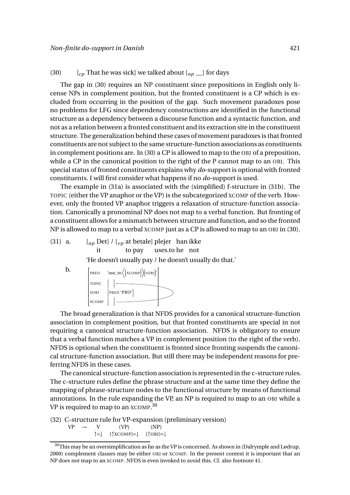#### (30)  $\left[ c_p \right]$  That he was sick] we talked about  $\left[ n_p \right]$  for days

The gap in (30) requires an NP constituent since prepositions in English only license NPs in complement position, but the fronted constituent is a CP which is excluded from occurring in the position of the gap. Such movement paradoxes pose no problems for LFG since dependency constructions are identified in the functional structure as a dependency between a discourse function and a syntactic function, and not as a relation between a fronted constituent and its extraction site in the constituent structure. The generalization behind these cases of movement paradoxes is that fronted constituents are not subject to the same structure-function associations as constituents in complement positions are. In (30) a CP is allowed to map to the OBJ of a preposition, while a CP in the canonical position to the right of the P cannot map to an OBJ. This special status of fronted constituents explains why *do*-support is optional with fronted constituents. I will first consider what happens if no *do*-support is used.

The example in (31a) is associated with the (simplified) f-structure in (31b). The TOPIC (either the VP anaphor or the VP) is the subcategorized XCOMP of the verb. However, only the fronted VP anaphor triggers a relaxation of structure-function association. Canonically a pronominal NP does not map to a verbal function. But fronting of a constituent allows for a mismatch between structure and function, and so the fronted NP is allowed to map to a verbal XCOMP just as a CP is allowed to map to an OBJ in (30).

(31) a.  $\left[ np \text{ Det} \right] / \left[ v_p \text{ at betale} \right]$  plejer han ikke it to pay uses.to he not

'He doesn't usually pay / he doesn't usually do that.'

**b.**  
\n
$$
\begin{bmatrix}\nPRED & 'use_to((xCOMP)(SUBJ)^{1} \\
TOPIC & [] & | & \n\end{bmatrix}
$$
\n
$$
xCOMP & [] & \n\begin{bmatrix}\n1 & -1 & -1 \\
-1 & -1 & -1 \\
-1 & -1 & -1\n\end{bmatrix}
$$

The broad generalization is that NFDS provides for a canonical structure-function association in complement position, but that fronted constituents are special in not requiring a canonical structure-function association. NFDS is obligatory to ensure that a verbal function matches a VP in complement position (to the right of the verb). NFDS is optional when the constituent is fronted since fronting suspends the canonical structure-function association. But still there may be independent reasons for preferring NFDS in these cases.

The canonical structure-function association is represented in the c-structure rules. The c-structure rules define the phrase structure and at the same time they define the mapping of phrase-structure nodes to the functional structure by means of functional annotations. In the rule expanding the VP, an NP is required to map to an OBJ while a VP is required to map to an  $\alpha$ COMP. $^{30}$ 

(32) C-structure rule for VP-expansion (preliminary version)  $VP \rightarrow V$  (VP) (NP) ↑=↓ (↑XCOMP)=↓ (↑OBJ)=↓

 $^{30}\rm{This}$  may be an oversimplification as far as the VP is concerned. As shown in (Dalrymple and Lødrup, 2000) complement clauses may be either OBJ or XCOMP. In the present context it is important that an NP does not map to an XCOMP. NFDS is even invoked to avoid this. Cf. also footnote 41.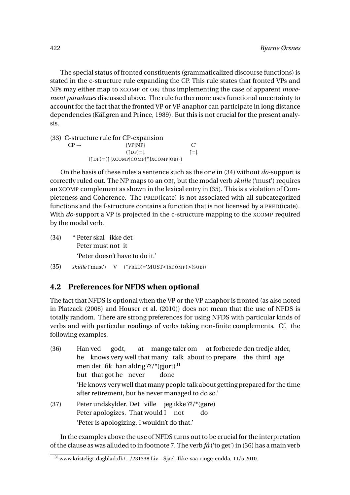The special status of fronted constituents (grammaticalized discourse functions) is stated in the c-structure rule expanding the CP. This rule states that fronted VPs and NPs may either map to XCOMP or OBJ thus implementing the case of apparent *movement paradoxes* discussed above. The rule furthermore uses functional uncertainty to account for the fact that the fronted VP or VP anaphor can participate in long distance dependencies (Källgren and Prince, 1989). But this is not crucial for the present analysis.

(33) C-structure rule for CP-expansion  $CP \rightarrow \qquad \qquad \{VP|NP\}$  C'  $(1DF)=|$ (↑DF)=(↑{XCOMP|COMP}\*{XCOMP|OBJ})

On the basis of these rules a sentence such as the one in (34) without *do*-support is correctly ruled out. The NP maps to an OBJ, but the modal verb *skulle* ('must') requires an XCOMP complement as shown in the lexical entry in (35). This is a violation of Completeness and Coherence. The PRED(icate) is not associated with all subcategorized functions and the f-structure contains a function that is not licensed by a PRED(icate). With *do*-support a VP is projected in the c-structure mapping to the XCOMP required by the modal verb.

- (34) \* Peter skal ikke det Peter must not it 'Peter doesn't have to do it.'
- (35) *skulle* ('must') V (↑PRED)='MUST<(XCOMP)>(SUBJ)'

#### **4.2 Preferences for NFDS when optional**

The fact that NFDS is optional when the VP or the VP anaphor is fronted (as also noted in Platzack (2008) and Houser et al. (2010)) does not mean that the use of NFDS is totally random. There are strong preferences for using NFDS with particular kinds of verbs and with particular readings of verbs taking non-finite complements. Cf. the following examples.

- $(36)$ he knows very well that many talk about to prepare the third age Han ved godt, at mange taler om at forberede den tredje alder, men det fik han aldrig??/\*(gjort)<sup>31</sup> but that got he never done 'He knows very well that many people talk about getting prepared for the time after retirement, but he never managed to do so.' (37) Peter undskylder. Det ville jeg ikke ??/\*(gøre)
- Peter apologizes. That would I not do 'Peter is apologizing. I wouldn't do that.'

In the examples above the use of NFDS turns out to be crucial for the interpretation of the clause as was alluded to in footnote 7. The verb *få* ('to get') in (36) has a main verb

<sup>31</sup>www.kristeligt-dagblad.dk/.../231338:Liv—Sjael–Ikke-saa-ringe-endda, 11/5 2010.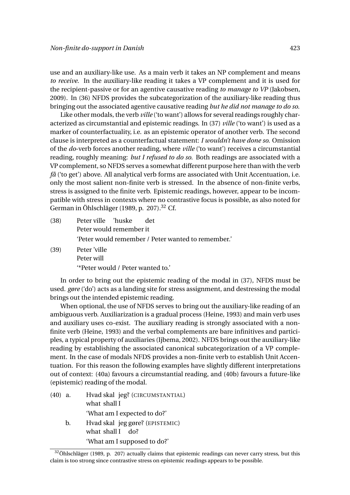use and an auxiliary-like use. As a main verb it takes an NP complement and means *to receive*. In the auxiliary-like reading it takes a VP complement and it is used for the recipient-passive or for an agentive causative reading *to manage to VP* (Jakobsen, 2009). In (36) NFDS provides the subcategorization of the auxiliary-like reading thus bringing out the associated agentive causative reading *but he did not manage to do so*.

Like other modals, the verb *ville* ('to want') allows for several readings roughly characterized as circumstantial and epistemic readings. In (37) *ville* ('to want') is used as a marker of counterfactuality, i.e. as an epistemic operator of another verb. The second clause is interpreted as a counterfactual statement: *I wouldn't have done so*. Omission of the *do*-verb forces another reading, where *ville* ('to want') receives a circumstantial reading, roughly meaning: *but I refused to do so*. Both readings are associated with a VP complement, so NFDS serves a somewhat different purpose here than with the verb *få* ('to get') above. All analytical verb forms are associated with Unit Accentuation, i.e. only the most salient non-finite verb is stressed. In the absence of non-finite verbs, stress is assigned to the finite verb. Epistemic readings, however, appear to be incompatible with stress in contexts where no contrastive focus is possible, as also noted for German in Öhlschläger (1989, p. 207).<sup>32</sup> Cf.

| (38) | Peter ville 'huske det  |                                                    |  |  |  |  |  |
|------|-------------------------|----------------------------------------------------|--|--|--|--|--|
|      | Peter would remember it |                                                    |  |  |  |  |  |
|      |                         | 'Peter would remember / Peter wanted to remember.' |  |  |  |  |  |
| (39) | Peter 'ville            |                                                    |  |  |  |  |  |

(39) Peter 'ville Peter will '\*Peter would / Peter wanted to.'

In order to bring out the epistemic reading of the modal in (37), NFDS must be used. *gøre* ('do') acts as a landing site for stress assignment, and destressing the modal brings out the intended epistemic reading.

When optional, the use of NFDS serves to bring out the auxiliary-like reading of an ambiguous verb. Auxiliarization is a gradual process (Heine, 1993) and main verb uses and auxiliary uses co-exist. The auxiliary reading is strongly associated with a nonfinite verb (Heine, 1993) and the verbal complements are bare infinitives and participles, a typical property of auxiliaries (Ijbema, 2002). NFDS brings out the auxiliary-like reading by establishing the associated canonical subcategorization of a VP complement. In the case of modals NFDS provides a non-finite verb to establish Unit Accentuation. For this reason the following examples have slightly different interpretations out of context: (40a) favours a circumstantial reading, and (40b) favours a future-like (epistemic) reading of the modal.

 $(40)$  a. what shall I skal jeg? (CIRCUMSTANTIAL) 'What am I expected to do?' b. Hvad skal jeg gøre? (EPISTEMIC) what shall I do? 'What am I supposed to do?'

<sup>&</sup>lt;sup>32</sup>Öhlschläger (1989, p. 207) actually claims that epistemic readings can never carry stress, but this claim is too strong since contrastive stress on epistemic readings appears to be possible.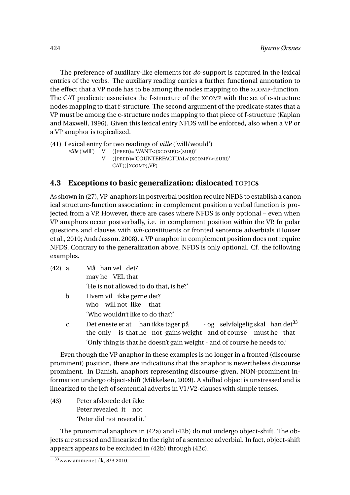The preference of auxiliary-like elements for *do*-support is captured in the lexical entries of the verbs. The auxiliary reading carries a further functional annotation to the effect that a VP node has to be among the nodes mapping to the XCOMP-function. The CAT predicate associates the f-structure of the XCOMP with the set of c-structure nodes mapping to that f-structure. The second argument of the predicate states that a VP must be among the c-structure nodes mapping to that piece of f-structure (Kaplan and Maxwell, 1996). Given this lexical entry NFDS will be enforced, also when a VP or a VP anaphor is topicalized.

(41) Lexical entry for two readings of *ville* ('will/would')

- *ville* ('will') V (↑PRED)='WANT<(XCOMP)>(SUBJ)'
	- V (↑PRED)='COUNTERFACTUAL<(XCOMP)>(SUBJ)' CAT((↑XCOMP),VP)

#### **4.3 Exceptions to basic generalization: dislocated** TOPIC**s**

As shown in (27), VP-anaphors in postverbal position require NFDS to establish a canonical structure-function association: in complement position a verbal function is projected from a VP. However, there are cases where NFDS is only optional – even when VP anaphors occur postverbally, i.e. in complement position within the VP. In polar questions and clauses with *wh*-constituents or fronted sentence adverbials (Houser et al., 2010; Andréasson, 2008), a VP anaphor in complement position does not require NFDS. Contrary to the generalization above, NFDS is only optional. Cf. the following examples.

- $(42)$  a. may he VEL that han vel det? 'He is not allowed to do that, is he?'
	- b. Hvem vil ikke gerne det? who will not like that 'Who wouldn't like to do that?'
	- c. Det eneste er at han ikke tager på the only is that he not gains weight and of course must he that - og selvfølgelig skal han det<sup>33</sup> 'Only thing is that he doesn't gain weight - and of course he needs to.'

Even though the VP anaphor in these examples is no longer in a fronted (discourse prominent) position, there are indications that the anaphor is nevertheless discourse prominent. In Danish, anaphors representing discourse-given, NON-prominent information undergo object-shift (Mikkelsen, 2009). A shifted object is unstressed and is linearized to the left of sentential adverbs in V1/V2-clauses with simple tenses.

(43) Peter afslørede det ikke Peter revealed it not 'Peter did not reveral it.'

The pronominal anaphors in (42a) and (42b) do not undergo object-shift. The objects are stressed and linearized to the right of a sentence adverbial. In fact, object-shift appears appears to be excluded in (42b) through (42c).

<sup>33</sup>www.ammenet.dk, 8/3 2010.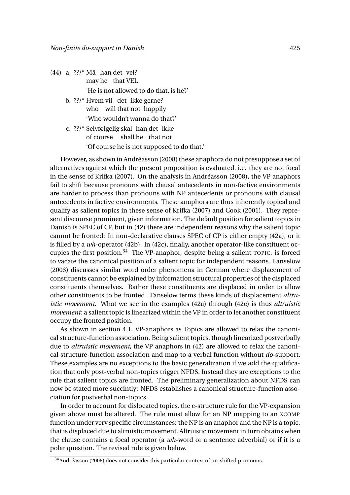- (44) a. ??/\* Må han det vel? may he that VEL 'He is not allowed to do that, is he?'
	- b. ??/\* Hvem vil det ikke gerne? who will that not happily 'Who wouldn't wanna do that?'
	- c. ??/\* Selvfølgelig skal han det ikke of course shall he that not 'Of course he is not supposed to do that.'

However, as shown in Andréasson (2008) these anaphora do not presuppose a set of alternatives against which the present proposition is evaluated, i.e. they are not focal in the sense of Krifka (2007). On the analysis in Andréasson (2008), the VP anaphors fail to shift because pronouns with clausal antecedents in non-factive environments are harder to process than pronouns with NP antecedents or pronouns with clausal antecedents in factive environments. These anaphors are thus inherently topical and qualify as salient topics in these sense of Krifka (2007) and Cook (2001). They represent discourse prominent, given information. The default position for salient topics in Danish is SPEC of CP, but in (42) there are independent reasons why the salient topic cannot be fronted: In non-declarative clauses SPEC of CP is either empty (42a), or it is filled by a *wh*-operator (42b). In (42c), finally, another operator-like constituent occupies the first position. $34$  The VP-anaphor, despite being a salient TOPIC, is forced to vacate the canonical position of a salient topic for independent reasons. Fanselow (2003) discusses similar word order phenomena in German where displacement of constituents cannot be explained by information structural properties of the displaced constituents themselves. Rather these constituents are displaced in order to allow other constituents to be fronted. Fanselow terms these kinds of displacement *altruistic movement*. What we see in the examples (42a) through (42c) is thus *altruistic movement*: a salient topic is linearized within the VP in order to let another constituent occupy the fronted position.

As shown in section 4.1, VP-anaphors as Topics are allowed to relax the canonical structure-function association. Being salient topics, though linearized postverbally due to *altruistic movement*, the VP anaphors in (42) are allowed to relax the canonical structure-function association and map to a verbal function without *do*-support. These examples are no exceptions to the basic generalization if we add the qualification that only post-verbal non-topics trigger NFDS. Instead they are exceptions to the rule that salient topics are fronted. The preliminary generalization about NFDS can now be stated more succintly: NFDS establishes a canonical structure-function association for postverbal non-topics.

In order to account for dislocated topics, the c-structure rule for the VP-expansion given above must be altered. The rule must allow for an NP mapping to an XCOMP function under very specific circumstances: the NP is an anaphor and the NP is a topic, that is displaced due to altruistic movement. Altruistic movement in turn obtains when the clause contains a focal operator (a *wh*-word or a sentence adverbial) or if it is a polar question. The revised rule is given below.

<sup>34</sup>Andréasson (2008) does not consider this particular context of un-shifted pronouns.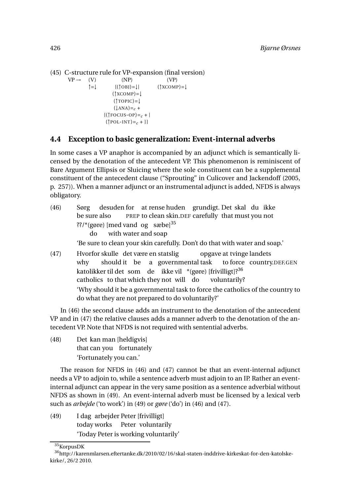```
(45) C-structure rule for VP-expansion (final version)
```
 $VP \rightarrow (V)$  (NP) (VP) ↑=↓ {(↑OBJ)=↓| (↑XCOMP)=↓  $(\uparrow \text{XCOMP})=\downarrow$  $(1)TOPIC = |$  $(\downarrow$ ANA)=<sub>c</sub> +  ${(\uparrow \text{POCUS-OP}) =}_c + |$  $({\uparrow}$ POL-INT)=<sub>c</sub> + }}

## **4.4 Exception to basic generalization: Event-internal adverbs**

In some cases a VP anaphor is accompanied by an adjunct which is semantically licensed by the denotation of the antecedent VP. This phenomenon is reminiscent of Bare Argument Ellipsis or Sluicing where the sole constituent can be a supplemental constituent of the antecedent clause ("Sprouting" in Culicover and Jackendoff (2005, p. 257)). When a manner adjunct or an instrumental adjunct is added, NFDS is always obligatory.

- (46) Sørg be sure also desuden for at rense huden grundigt. Det skal du ikke PREP to clean skin.DEF carefully that must you not ??/\*(gøre) [med vand og sæbe]<sup>35</sup> do with water and soap 'Be sure to clean your skin carefully. Don't do that with water and soap.' (47) Hvorfor skulle det være en statslig opgave at tvinge landets
- why should it be a governmental task to force country.DEF.GEN katolikker til det som de ikke vil \*(gøre) [frivilligt]?<sup>36</sup> catholics to that which they not will do voluntarily? 'Why should it be a governmental task to force the catholics of the country to do what they are not prepared to do voluntarily?'

In (46) the second clause adds an instrument to the denotation of the antecedent VP and in (47) the relative clauses adds a manner adverb to the denotation of the antecedent VP. Note that NFDS is not required with sentential adverbs.

 $(48)$ that can you fortunately kan man [heldigvis] 'Fortunately you can.'

The reason for NFDS in (46) and (47) cannot be that an event-internal adjunct needs a VP to adjoin to, while a sentence adverb must adjoin to an IP. Rather an eventinternal adjunct can appear in the very same position as a sentence adverbial without NFDS as shown in (49). An event-internal adverb must be licensed by a lexical verb such as *arbejde* ('to work') in (49) or *gøre* ('do') in (46) and (47).

(49) I dag arbejder Peter [frivilligt] today works Peter voluntarily 'Today Peter is working voluntarily'

<sup>35</sup>KorpusDK

<sup>36</sup>http://karenmlarsen.eftertanke.dk/2010/02/16/skal-staten-inddrive-kirkeskat-for-den-katolskekirke/, 26/2 2010.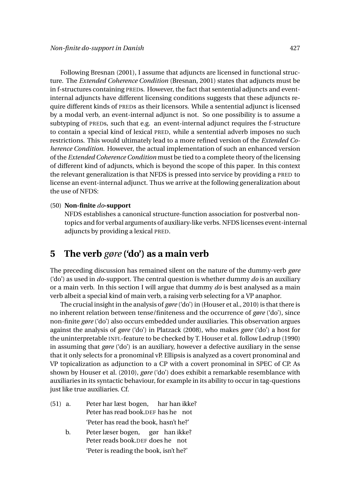Following Bresnan (2001), I assume that adjuncts are licensed in functional structure. The *Extended Coherence Condition* (Bresnan, 2001) states that adjuncts must be in f-structures containing PREDs. However, the fact that sentential adjuncts and eventinternal adjuncts have different licensing conditions suggests that these adjuncts require different kinds of PREDs as their licensors. While a sentential adjunct is licensed by a modal verb, an event-internal adjunct is not. So one possibility is to assume a subtyping of PREDs, such that e.g. an event-internal adjunct requires the f-structure to contain a special kind of lexical PRED, while a sentential adverb imposes no such restrictions. This would ultimately lead to a more refined version of the *Extended Coherence Condition*. However, the actual implementation of such an enhanced version of the *Extended Coherence Condition* must be tied to a complete theory of the licensing of different kind of adjuncts, which is beyond the scope of this paper. In this context the relevant generalization is that NFDS is pressed into service by providing a PRED to license an event-internal adjunct. Thus we arrive at the following generalization about the use of NFDS:

#### (50) **Non-finite** *do***-support**

NFDS establishes a canonical structure-function association for postverbal nontopics and for verbal arguments of auxiliary-like verbs. NFDS licenses event-internal adjuncts by providing a lexical PRED.

## **5 The verb** *gøre* **('do') as a main verb**

The preceding discussion has remained silent on the nature of the dummy-verb *gøre* ('do') as used in *do*-support. The central question is whether dummy *do* is an auxiliary or a main verb. In this section I will argue that dummy *do* is best analysed as a main verb albeit a special kind of main verb, a raising verb selecting for a VP anaphor.

The crucial insight in the analysis of *gøre* ('do') in (Houser et al., 2010) is that there is no inherent relation between tense/finiteness and the occurrence of *gøre* ('do'), since non-finite *gøre* ('do') also occurs embedded under auxiliaries. This observation argues against the analysis of *gøre* ('do') in Platzack (2008), who makes *gøre* ('do') a host for the uninterpretable INFL-feature to be checked by T. Houser et al. follow Lødrup (1990) in assuming that *gøre* ('do') is an auxiliary, however a defective auxiliary in the sense that it only selects for a pronominal vP. Ellipsis is analyzed as a covert pronominal and VP topicalization as adjunction to a CP with a covert pronominal in SPEC of CP. As shown by Houser et al. (2010), *gøre* ('do') does exhibit a remarkable resemblance with auxiliaries in its syntactic behaviour, for example in its ability to occur in tag-questions just like true auxiliaries. Cf.

- $(51)$  a. Peter has read book.DEF has he not har læst bogen, har han ikke? 'Peter has read the book, hasn't he?'
	- b. Peter læser bogen, Peter reads book.DEF does he not gør han ikke? 'Peter is reading the book, isn't he?'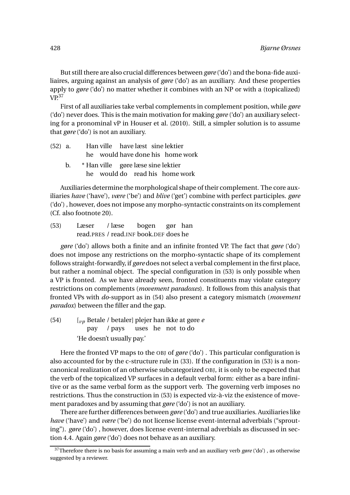But still there are also crucial differences between *gøre* ('do') and the bona-fide auxiliaires, arguing against an analysis of *gøre* ('do') as an auxiliary. And these properties apply to *gøre* ('do') no matter whether it combines with an NP or with a (topicalized)  $VP<sup>37</sup>$ 

First of all auxiliaries take verbal complements in complement position, while *gøre* ('do') never does. This is the main motivation for making *gøre* ('do') an auxiliary selecting for a pronominal vP in Houser et al. (2010). Still, a simpler solution is to assume that *gøre* ('do') is not an auxiliary.

| $(52)$ a. |  |                                       |  | Han ville have læst sine lektier |
|-----------|--|---------------------------------------|--|----------------------------------|
|           |  |                                       |  | he would have done his home work |
|           |  | b. * Han ville gøre læse sine lektier |  |                                  |
|           |  |                                       |  | he would do read his home work   |

Auxiliaries determine the morphological shape of their complement. The core auxiliaries *have* ('have'), *være* ('be') and *blive* ('get') combine with perfect participles. *gøre* ('do') , however, does not impose any morpho-syntactic constraints on its complement (Cf. also footnote 20).

(53) Læser read.PRES / read.INF book.DEF does he / læse bogen gør han

*gøre* ('do') allows both a finite and an infinite fronted VP. The fact that *gøre* ('do') does not impose any restrictions on the morpho-syntactic shape of its complement follows straight-forwardly, if *gøre* does not select a verbal complement in the first place, but rather a nominal object. The special configuration in (53) is only possible when a VP is fronted. As we have already seen, fronted constituents may violate category restrictions on complements (*movement paradoxes*). It follows from this analysis that fronted VPs with *do*-support as in (54) also present a category mismatch (*movement paradox*) between the filler and the gap.

(54) [*vp* Betale / betaler] plejer han ikke at gøre *e* pay / pays uses he not to do 'He doesn't usually pay.'

Here the fronted VP maps to the OBJ of *gøre* ('do') . This particular configuration is also accounted for by the c-structure rule in (33). If the configuration in (53) is a noncanonical realization of an otherwise subcategorized OBJ, it is only to be expected that the verb of the topicalized VP surfaces in a default verbal form: either as a bare infinitive or as the same verbal form as the support verb. The governing verb imposes no restrictions. Thus the construction in (53) is expected viz-à-viz the existence of movement paradoxes and by assuming that *gøre* ('do') is not an auxiliary.

There are further differences between *gøre* ('do') and true auxiliaries. Auxiliaries like *have* ('have') and *være* ('be') do not license license event-internal adverbials ("sprouting"). *gøre* ('do') , however, does license event-internal adverbials as discussed in section 4.4. Again *gøre* ('do') does not behave as an auxiliary.

<sup>37</sup>Therefore there is no basis for assuming a main verb and an auxiliary verb *gøre* ('do') , as otherwise suggested by a reviewer.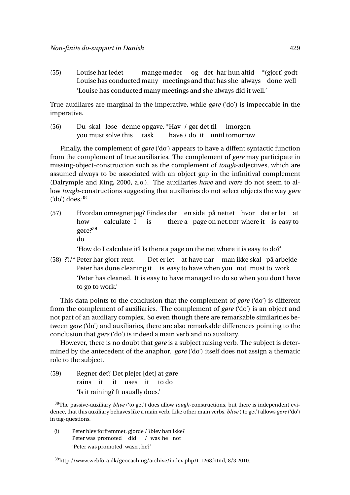(55) Louise har ledet Louise has conducted many meetings and that has she always done well mange møder og det har hun altid \*(gjort) godt 'Louise has conducted many meetings and she always did it well.'

True auxiliares are marginal in the imperative, while *gøre* ('do') is impeccable in the imperative.

 $(56)$ you must solve this skal løse denne opgave. \*Hav / gør det til task have / do it until tomorrow imorgen

Finally, the complement of *gøre* ('do') appears to have a diffent syntactic function from the complement of true auxiliaries. The complement of *gøre* may participate in missing-object-construction such as the complement of *tough*-adjectives, which are assumed always to be associated with an object gap in the infinitival complement (Dalrymple and King, 2000, a.o.). The auxiliaries *have* and *være* do not seem to allow *tough*-constructions suggesting that auxiliaries do not select objects the way *gøre*  $({\rm 'do'})$  does. $^{38}$ 

(57) Hvordan omregner jeg? Findes der en side på nettet hvor det er let at how calculate I is there a page on net.DEF where it is easy to gøre?<sup>39</sup> do

'How do I calculate it? Is there a page on the net where it is easy to do?'

(58) ??/\* Peter har gjort rent. Peter has done cleaning it is easy to have when you not must to work Det er let at have når man ikke skal på arbejde 'Peter has cleaned. It is easy to have managed to do so when you don't have to go to work.'

This data points to the conclusion that the complement of *gøre* ('do') is different from the complement of auxiliaries. The complement of *gøre* ('do') is an object and not part of an auxiliary complex. So even though there are remarkable similarities between *gøre* ('do') and auxiliaries, there are also remarkable differences pointing to the conclusion that *gøre* ('do') is indeed a main verb and no auxiliary.

However, there is no doubt that *gøre* is a subject raising verb. The subject is determined by the antecedent of the anaphor. *gøre* ('do') itself does not assign a thematic role to the subject.

(59) Regner det? Det plejer [det] at gøre rains it it uses it to do 'Is it raining? It usually does.'

(i) Peter blev forfremmet, gjorde / ?blev han ikke? Peter was promoted did / was he not 'Peter was promoted, wasn't he?'

 $39$ http://www.webfora.dk/geocaching/archive/index.php/t-1268.html, 8/3 2010.

<sup>38</sup>The passive-auxiliary *blive* ('to get') does allow *tough*-constructions, but there is independent evidence, that this auxiliary behaves like a main verb. Like other main verbs, *blive* ('to get') allows *gøre* ('do') in tag-questions.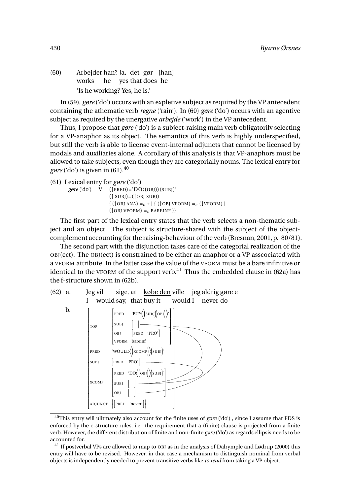(60) Arbejder han? Ja, det gør [han] works he yes that does he 'Is he working? Yes, he is.'

In (59), *gøre* ('do') occurs with an expletive subject as required by the VP antecedent containing the athematic verb *regne* ('rain'). In (60) *gøre* ('do') occurs with an agentive subject as required by the unergative *arbejde* ('work') in the VP antecedent.

Thus, I propose that *gøre* ('do') is a subject-raising main verb obligatorily selecting for a VP-anaphor as its object. The semantics of this verb is highly underspecified, but still the verb is able to license event-internal adjuncts that cannot be licensed by modals and auxiliaries alone. A corollary of this analysis is that VP-anaphors must be allowed to take subjects, even though they are categorially nouns. The lexical entry for *gøre* ('do') is given in  $(61)$ .<sup>40</sup>

```
(61) Lexical entry for gøre ('do')
```

```
gøre ('do') V (↑PRED)='DO〈(OBJ)〉(SUBJ)'
                      (\uparrow SUBJ)=(\uparrow OBJ SUBJ)\{ (\uparrowOBJ ANA) = c + | \{ (\uparrowOBJ VFORM) = c (\downarrowVFORM) |
                      ({\uparrow}OBJ VFORM) = c BAREINF }}
```
The first part of the lexical entry states that the verb selects a non-thematic subject and an object. The subject is structure-shared with the subject of the objectcomplement accounting for the raising-behaviour of the verb (Bresnan, 2001,p. 80/81).

The second part with the disjunction takes care of the categorial realization of the OBJ(ect). The OBJ(ect) is constrained to be either an anaphor or a VP asscociated with a VFORM attribute. In the latter case the value of the VFORM must be a bare infinitive or identical to the VFORM of the support verb.<sup>41</sup> Thus the embedded clause in (62a) has the f-structure shown in (62b).



<sup>40</sup>This entry will ulitmately also account for the finite uses of *gøre* ('do') , since I assume that FDS is enforced by the c-structure rules, i.e. the requirement that a (finite) clause is projected from a finite verb. However, the different distribution of finite and non-finite *gøre* ('do') as regards ellipsis needs to be accounted for.

<sup>&</sup>lt;sup>41</sup> If postverbal VPs are allowed to map to OBJ as in the analysis of Dalrymple and Lødrup (2000) this entry will have to be revised. However, in that case a mechanism to distinguish nominal from verbal objects is independently needed to prevent transitive verbs like *to read* from taking a VP object.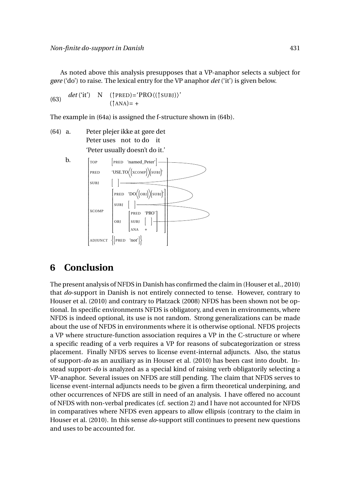As noted above this analysis presupposes that a VP-anaphor selects a subject for *gøre* ('do') to raise. The lexical entry for the VP anaphor *det* ('it') is given below.

 $det'$ <sup>(it'</sup>) N (<sup>†</sup>PRED)=<sup> $'$ </sup>PRO $\langle$ (†SUBJ) $\rangle'$  $(\uparrow ANA) = +$ 

The example in (64a) is assigned the f-structure shown in (64b).

 $(64)$  a. Peter uses not to do it plejer ikke at gøre det 'Peter usually doesn't do it.'



## **6 Conclusion**

The present analysis of NFDS in Danish has confirmed the claim in (Houser et al., 2010) that *do*-support in Danish is not entirely connected to tense. However, contrary to Houser et al. (2010) and contrary to Platzack (2008) NFDS has been shown not be optional. In specific environments NFDS is obligatory, and even in environments, where NFDS is indeed optional, its use is not random. Strong generalizations can be made about the use of NFDS in environments where it is otherwise optional. NFDS projects a VP where structure-function association requires a VP in the C-structure or where a specific reading of a verb requires a VP for reasons of subcategorization or stress placement. Finally NFDS serves to license event-internal adjuncts. Also, the status of support-*do* as an auxiliary as in Houser et al. (2010) has been cast into doubt. Instead support-*do* is analyzed as a special kind of raising verb obligatorily selecting a VP-anaphor. Several issues on NFDS are still pending. The claim that NFDS serves to license event-internal adjuncts needs to be given a firm theoretical underpining, and other occurrences of NFDS are still in need of an analysis. I have offered no account of NFDS with non-verbal predicates (cf. section 2) and I have not accounted for NFDS in comparatives where NFDS even appears to allow ellipsis (contrary to the claim in Houser et al. (2010). In this sense *do*-support still continues to present new questions and uses to be accounted for.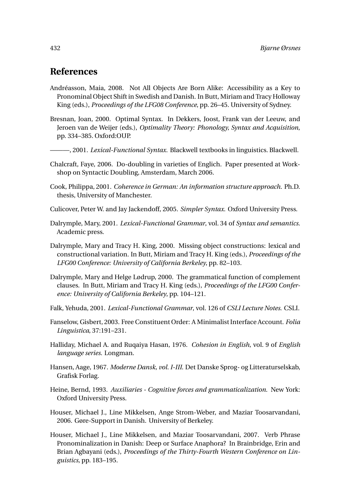## **References**

- Andréasson, Maia, 2008. Not All Objects Are Born Alike: Accessibility as a Key to Pronominal Object Shift in Swedish and Danish. In Butt, Miriam and Tracy Holloway King (eds.), *Proceedings of the LFG08 Conference*, pp. 26–45. University of Sydney.
- Bresnan, Joan, 2000. Optimal Syntax. In Dekkers, Joost, Frank van der Leeuw, and Jeroen van de Weijer (eds.), *Optimality Theory: Phonology, Syntax and Acquisition*, pp. 334–385. Oxford:OUP.
- ———, 2001. *Lexical-Functional Syntax*. Blackwell textbooks in linguistics. Blackwell.
- Chalcraft, Faye, 2006. Do-doubling in varieties of Englich. Paper presented at Workshop on Syntactic Doubling, Amsterdam, March 2006.
- Cook, Philippa, 2001. *Coherence in German: An information structure approach*. Ph.D. thesis, University of Manchester.
- Culicover, Peter W. and Jay Jackendoff, 2005. *Simpler Syntax*. Oxford University Press.
- Dalrymple, Mary, 2001. *Lexical-Functional Grammar*, vol. 34 of *Syntax and semantics*. Academic press.
- Dalrymple, Mary and Tracy H. King, 2000. Missing object constructions: lexical and constructional variation. In Butt, Miriam and Tracy H. King (eds.), *Proceedings of the LFG00 Conference: University of California Berkeley*, pp. 82–103.
- Dalrymple, Mary and Helge Lødrup, 2000. The grammatical function of complement clauses. In Butt, Miriam and Tracy H. King (eds.), *Proceedings of the LFG00 Conference: University of California Berkeley*, pp. 104–121.
- Falk, Yehuda, 2001. *Lexical-Functional Grammar*, vol. 126 of *CSLI Lecture Notes*. CSLI.
- Fanselow, Gisbert, 2003. Free Constituent Order: A Minimalist Interface Account. *Folia Linguistica*, 37:191–231.
- Halliday, Michael A. and Ruqaiya Hasan, 1976. *Cohesion in English*, vol. 9 of *English language series*. Longman.
- Hansen, Aage, 1967. *Moderne Dansk, vol. I-III*. Det Danske Sprog- og Litteraturselskab, Grafisk Forlag.
- Heine, Bernd, 1993. *Auxiliaries Cognitive forces and grammaticalization*. New York: Oxford University Press.
- Houser, Michael J., Line Mikkelsen, Ange Strom-Weber, and Maziar Toosarvandani, 2006. Gøre-Support in Danish. University of Berkeley.
- Houser, Michael J., Line Mikkelsen, and Maziar Toosarvandani, 2007. Verb Phrase Pronominalization in Danish: Deep or Surface Anaphora? In Brainbridge, Erin and Brian Agbayani (eds.), *Proceedings of the Thirty-Fourth Western Conference on Linguistics*, pp. 183–195.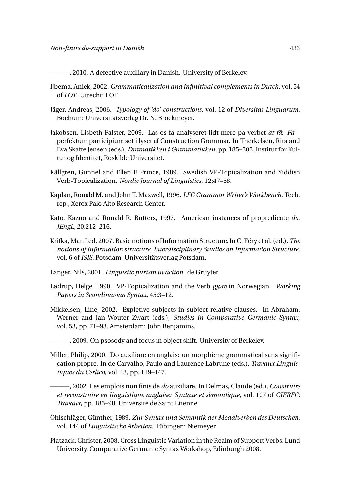———, 2010. A defective auxiliary in Danish. University of Berkeley.

- Ijbema, Aniek, 2002. *Grammaticalization and infinitival complements in Dutch*, vol. 54 of *LOT*. Utrecht: LOT.
- Jäger, Andreas, 2006. *Typology of 'do'-constructions*, vol. 12 of *Diversitas Linguarum*. Bochum: Universitätsverlag Dr. N. Brockmeyer.
- Jakobsen, Lisbeth Falster, 2009. Las os få analyseret lidt mere på verbet *at få*: *Få* + perfektum participium set i lyset af Construction Grammar. In Therkelsen, Rita and Eva Skafte Jensen (eds.), *Dramatikken i Grammatikken*, pp. 185–202. Institut for Kultur og Identitet, Roskilde Universitet.
- Källgren, Gunnel and Ellen F. Prince, 1989. Swedish VP-Topicalization and Yiddish Verb-Topicalization. *Nordic Journal of Linguistics*, 12:47–58.
- Kaplan, Ronald M. and John T. Maxwell, 1996. *LFG Grammar Writer's Workbench*. Tech. rep., Xerox Palo Alto Research Center.
- Kato, Kazuo and Ronald R. Butters, 1997. American instances of propredicate *do*. *JEngL*, 20:212–216.
- Krifka, Manfred, 2007. Basic notions of Information Structure. In C. Féry et al. (ed.), *The notions of information structure. Interdisciplinary Studies on Information Structure*, vol. 6 of *ISIS*. Potsdam: Universitätsverlag Potsdam.
- Langer, Nils, 2001. *Linguistic purism in action*. de Gruyter.
- Lødrup, Helge, 1990. VP-Topicalization and the Verb *gjøre* in Norwegian. *Working Papers in Scandinavian Syntax*, 45:3–12.
- Mikkelsen, Line, 2002. Expletive subjects in subject relative clauses. In Abraham, Werner and Jan-Wouter Zwart (eds.), *Studies in Comparative Germanic Syntax*, vol. 53, pp. 71–93. Amsterdam: John Benjamins.
- ———, 2009. On psosody and focus in object shift. University of Berkeley.
- Miller, Philip, 2000. Do auxiliare en anglais: un morphème grammatical sans signification propre. In de Carvalho, Paulo and Laurence Labrune (eds.), *Travaux Linguistiques du Cerlico*, vol. 13, pp. 119–147.
	- ———, 2002. Les emplois non finis de *do* auxiliare. In Delmas, Claude (ed.), *Construire et reconstruire en linguistique anglaise: Syntaxe et sèmantique*, vol. 107 of *CIEREC: Travaux*, pp. 185–98. Universitè de Saint Etienne.
- Öhlschläger, Günther, 1989. *Zur Syntax und Semantik der Modalverben des Deutschen*, vol. 144 of *Linguistische Arbeiten*. Tübingen: Niemeyer.
- Platzack, Christer, 2008. Cross Linguistic Variation in the Realm of Support Verbs. Lund University. Comparative Germanic Syntax Workshop, Edinburgh 2008.